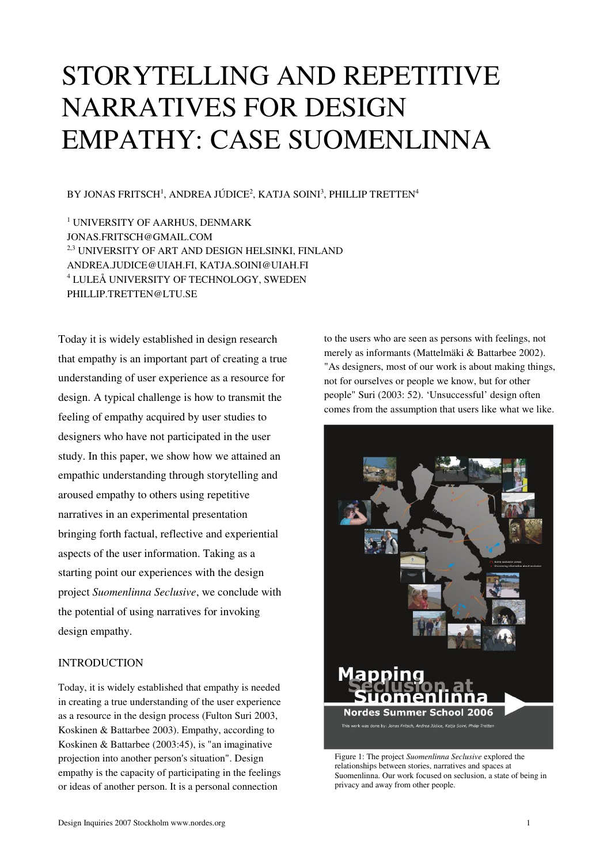# STORYTELLING AND REPETITIVE NARRATIVES FOR DESIGN EMPATHY: CASE SUOMENLINNA

BY JONAS FRITSCH<sup>1</sup>, ANDREA JÚDICE<sup>2</sup>, KATJA SOINI<sup>3</sup>, PHILLIP TRETTEN<sup>4</sup>

1 UNIVERSITY OF AARHUS, DENMARK JONAS.FRITSCH@GMAIL.COM <sup>2,3</sup> UNIVERSITY OF ART AND DESIGN HELSINKI, FINLAND ANDREA.JUDICE@UIAH.FI, KATJA.SOINI@UIAH.FI 4 LULEÅ UNIVERSITY OF TECHNOLOGY, SWEDEN PHILLIP.TRETTEN@LTU.SE

Today it is widely established in design research that empathy is an important part of creating a true understanding of user experience as a resource for design. A typical challenge is how to transmit the feeling of empathy acquired by user studies to designers who have not participated in the user study. In this paper, we show how we attained an empathic understanding through storytelling and aroused empathy to others using repetitive narratives in an experimental presentation bringing forth factual, reflective and experiential aspects of the user information. Taking as a starting point our experiences with the design project *Suomenlinna Seclusive*, we conclude with the potential of using narratives for invoking design empathy.

# INTRODUCTION

Today, it is widely established that empathy is needed in creating a true understanding of the user experience as a resource in the design process (Fulton Suri 2003, Koskinen & Battarbee 2003). Empathy, according to Koskinen & Battarbee (2003:45), is "an imaginative projection into another person's situation". Design empathy is the capacity of participating in the feelings or ideas of another person. It is a personal connection

to the users who are seen as persons with feelings, not merely as informants (Mattelmäki & Battarbee 2002). "As designers, most of our work is about making things, not for ourselves or people we know, but for other people" Suri (2003: 52). 'Unsuccessful' design often comes from the assumption that users like what we like.



Figure 1: The project *Suomenlinna Seclusive* explored the relationships between stories, narratives and spaces at Suomenlinna. Our work focused on seclusion, a state of being in privacy and away from other people.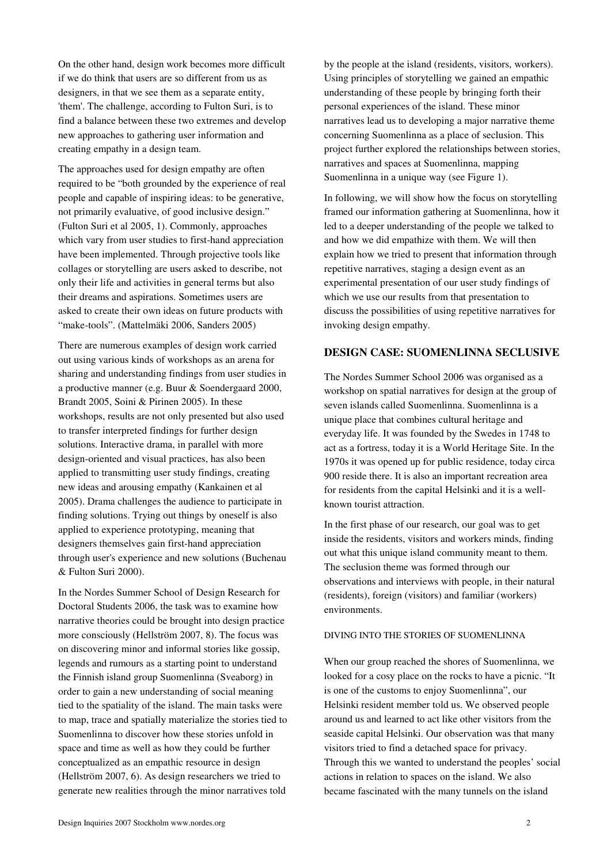On the other hand, design work becomes more difficult if we do think that users are so different from us as designers, in that we see them as a separate entity, 'them'. The challenge, according to Fulton Suri, is to find a balance between these two extremes and develop new approaches to gathering user information and creating empathy in a design team.

The approaches used for design empathy are often required to be "both grounded by the experience of real people and capable of inspiring ideas: to be generative, not primarily evaluative, of good inclusive design." (Fulton Suri et al 2005, 1). Commonly, approaches which vary from user studies to first-hand appreciation have been implemented. Through projective tools like collages or storytelling are users asked to describe, not only their life and activities in general terms but also their dreams and aspirations. Sometimes users are asked to create their own ideas on future products with "make-tools". (Mattelmäki 2006, Sanders 2005)

There are numerous examples of design work carried out using various kinds of workshops as an arena for sharing and understanding findings from user studies in a productive manner (e.g. Buur & Soendergaard 2000, Brandt 2005, Soini & Pirinen 2005). In these workshops, results are not only presented but also used to transfer interpreted findings for further design solutions. Interactive drama, in parallel with more design-oriented and visual practices, has also been applied to transmitting user study findings, creating new ideas and arousing empathy (Kankainen et al 2005). Drama challenges the audience to participate in finding solutions. Trying out things by oneself is also applied to experience prototyping, meaning that designers themselves gain first-hand appreciation through user's experience and new solutions (Buchenau & Fulton Suri 2000).

In the Nordes Summer School of Design Research for Doctoral Students 2006, the task was to examine how narrative theories could be brought into design practice more consciously (Hellström 2007, 8). The focus was on discovering minor and informal stories like gossip, legends and rumours as a starting point to understand the Finnish island group Suomenlinna (Sveaborg) in order to gain a new understanding of social meaning tied to the spatiality of the island. The main tasks were to map, trace and spatially materialize the stories tied to Suomenlinna to discover how these stories unfold in space and time as well as how they could be further conceptualized as an empathic resource in design (Hellström 2007, 6). As design researchers we tried to generate new realities through the minor narratives told

by the people at the island (residents, visitors, workers). Using principles of storytelling we gained an empathic understanding of these people by bringing forth their personal experiences of the island. These minor narratives lead us to developing a major narrative theme concerning Suomenlinna as a place of seclusion. This project further explored the relationships between stories, narratives and spaces at Suomenlinna, mapping Suomenlinna in a unique way (see Figure 1).

In following, we will show how the focus on storytelling framed our information gathering at Suomenlinna, how it led to a deeper understanding of the people we talked to and how we did empathize with them. We will then explain how we tried to present that information through repetitive narratives, staging a design event as an experimental presentation of our user study findings of which we use our results from that presentation to discuss the possibilities of using repetitive narratives for invoking design empathy.

### **DESIGN CASE: SUOMENLINNA SECLUSIVE**

The Nordes Summer School 2006 was organised as a workshop on spatial narratives for design at the group of seven islands called Suomenlinna. Suomenlinna is a unique place that combines cultural heritage and everyday life. It was founded by the Swedes in 1748 to act as a fortress, today it is a World Heritage Site. In the 1970s it was opened up for public residence, today circa 900 reside there. It is also an important recreation area for residents from the capital Helsinki and it is a wellknown tourist attraction.

In the first phase of our research, our goal was to get inside the residents, visitors and workers minds, finding out what this unique island community meant to them. The seclusion theme was formed through our observations and interviews with people, in their natural (residents), foreign (visitors) and familiar (workers) environments.

# DIVING INTO THE STORIES OF SUOMENLINNA

When our group reached the shores of Suomenlinna, we looked for a cosy place on the rocks to have a picnic. "It is one of the customs to enjoy Suomenlinna", our Helsinki resident member told us. We observed people around us and learned to act like other visitors from the seaside capital Helsinki. Our observation was that many visitors tried to find a detached space for privacy. Through this we wanted to understand the peoples' social actions in relation to spaces on the island. We also became fascinated with the many tunnels on the island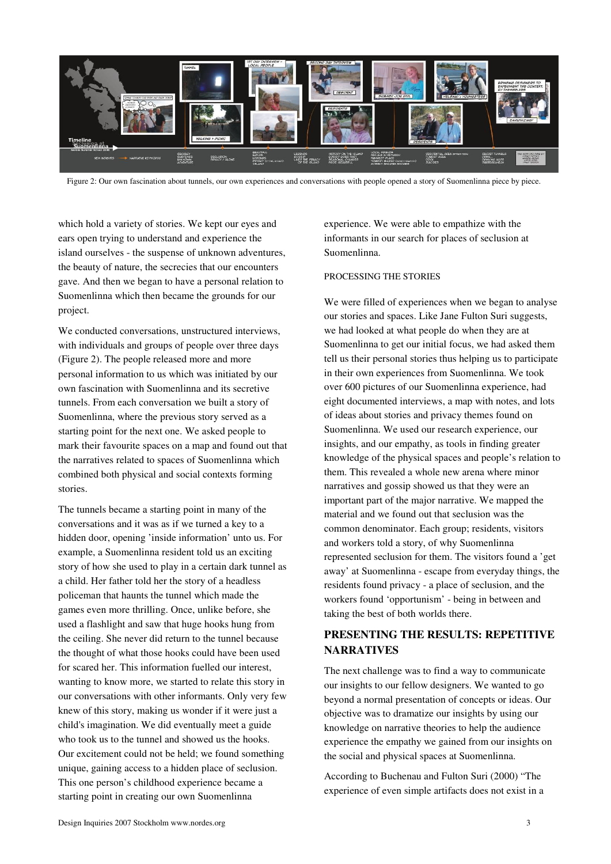

Figure 2: Our own fascination about tunnels, our own experiences and conversations with people opened a story of Suomenlinna piece by piece.

which hold a variety of stories. We kept our eyes and ears open trying to understand and experience the island ourselves - the suspense of unknown adventures, the beauty of nature, the secrecies that our encounters gave. And then we began to have a personal relation to Suomenlinna which then became the grounds for our project.

We conducted conversations, unstructured interviews, with individuals and groups of people over three days (Figure 2). The people released more and more personal information to us which was initiated by our own fascination with Suomenlinna and its secretive tunnels. From each conversation we built a story of Suomenlinna, where the previous story served as a starting point for the next one. We asked people to mark their favourite spaces on a map and found out that the narratives related to spaces of Suomenlinna which combined both physical and social contexts forming stories.

The tunnels became a starting point in many of the conversations and it was as if we turned a key to a hidden door, opening 'inside information' unto us. For example, a Suomenlinna resident told us an exciting story of how she used to play in a certain dark tunnel as a child. Her father told her the story of a headless policeman that haunts the tunnel which made the games even more thrilling. Once, unlike before, she used a flashlight and saw that huge hooks hung from the ceiling. She never did return to the tunnel because the thought of what those hooks could have been used for scared her. This information fuelled our interest, wanting to know more, we started to relate this story in our conversations with other informants. Only very few knew of this story, making us wonder if it were just a child's imagination. We did eventually meet a guide who took us to the tunnel and showed us the hooks. Our excitement could not be held; we found something unique, gaining access to a hidden place of seclusion. This one person's childhood experience became a starting point in creating our own Suomenlinna

experience. We were able to empathize with the informants in our search for places of seclusion at Suomenlinna.

## PROCESSING THE STORIES

We were filled of experiences when we began to analyse our stories and spaces. Like Jane Fulton Suri suggests, we had looked at what people do when they are at Suomenlinna to get our initial focus, we had asked them tell us their personal stories thus helping us to participate in their own experiences from Suomenlinna. We took over 600 pictures of our Suomenlinna experience, had eight documented interviews, a map with notes, and lots of ideas about stories and privacy themes found on Suomenlinna. We used our research experience, our insights, and our empathy, as tools in finding greater knowledge of the physical spaces and people's relation to them. This revealed a whole new arena where minor narratives and gossip showed us that they were an important part of the major narrative. We mapped the material and we found out that seclusion was the common denominator. Each group; residents, visitors and workers told a story, of why Suomenlinna represented seclusion for them. The visitors found a 'get away' at Suomenlinna - escape from everyday things, the residents found privacy - a place of seclusion, and the workers found 'opportunism' - being in between and taking the best of both worlds there.

# **PRESENTING THE RESULTS: REPETITIVE NARRATIVES**

The next challenge was to find a way to communicate our insights to our fellow designers. We wanted to go beyond a normal presentation of concepts or ideas. Our objective was to dramatize our insights by using our knowledge on narrative theories to help the audience experience the empathy we gained from our insights on the social and physical spaces at Suomenlinna.

According to Buchenau and Fulton Suri (2000) "The experience of even simple artifacts does not exist in a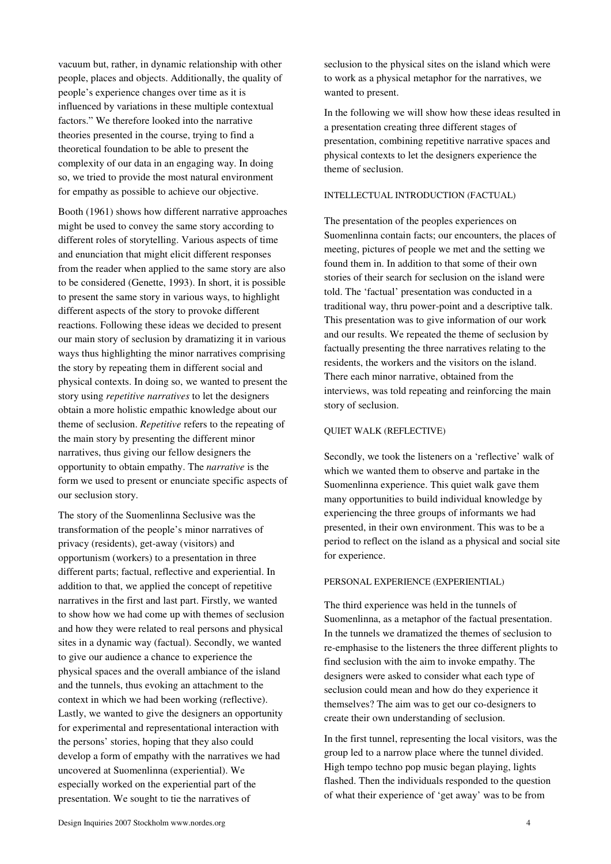vacuum but, rather, in dynamic relationship with other people, places and objects. Additionally, the quality of people's experience changes over time as it is influenced by variations in these multiple contextual factors." We therefore looked into the narrative theories presented in the course, trying to find a theoretical foundation to be able to present the complexity of our data in an engaging way. In doing so, we tried to provide the most natural environment for empathy as possible to achieve our objective.

Booth (1961) shows how different narrative approaches might be used to convey the same story according to different roles of storytelling. Various aspects of time and enunciation that might elicit different responses from the reader when applied to the same story are also to be considered (Genette, 1993). In short, it is possible to present the same story in various ways, to highlight different aspects of the story to provoke different reactions. Following these ideas we decided to present our main story of seclusion by dramatizing it in various ways thus highlighting the minor narratives comprising the story by repeating them in different social and physical contexts. In doing so, we wanted to present the story using *repetitive narratives* to let the designers obtain a more holistic empathic knowledge about our theme of seclusion. *Repetitive* refers to the repeating of the main story by presenting the different minor narratives, thus giving our fellow designers the opportunity to obtain empathy. The *narrative* is the form we used to present or enunciate specific aspects of our seclusion story.

The story of the Suomenlinna Seclusive was the transformation of the people's minor narratives of privacy (residents), get-away (visitors) and opportunism (workers) to a presentation in three different parts; factual, reflective and experiential. In addition to that, we applied the concept of repetitive narratives in the first and last part. Firstly, we wanted to show how we had come up with themes of seclusion and how they were related to real persons and physical sites in a dynamic way (factual). Secondly, we wanted to give our audience a chance to experience the physical spaces and the overall ambiance of the island and the tunnels, thus evoking an attachment to the context in which we had been working (reflective). Lastly, we wanted to give the designers an opportunity for experimental and representational interaction with the persons' stories, hoping that they also could develop a form of empathy with the narratives we had uncovered at Suomenlinna (experiential). We especially worked on the experiential part of the presentation. We sought to tie the narratives of

seclusion to the physical sites on the island which were to work as a physical metaphor for the narratives, we wanted to present.

In the following we will show how these ideas resulted in a presentation creating three different stages of presentation, combining repetitive narrative spaces and physical contexts to let the designers experience the theme of seclusion.

## INTELLECTUAL INTRODUCTION (FACTUAL)

The presentation of the peoples experiences on Suomenlinna contain facts; our encounters, the places of meeting, pictures of people we met and the setting we found them in. In addition to that some of their own stories of their search for seclusion on the island were told. The 'factual' presentation was conducted in a traditional way, thru power-point and a descriptive talk. This presentation was to give information of our work and our results. We repeated the theme of seclusion by factually presenting the three narratives relating to the residents, the workers and the visitors on the island. There each minor narrative, obtained from the interviews, was told repeating and reinforcing the main story of seclusion.

#### QUIET WALK (REFLECTIVE)

Secondly, we took the listeners on a 'reflective' walk of which we wanted them to observe and partake in the Suomenlinna experience. This quiet walk gave them many opportunities to build individual knowledge by experiencing the three groups of informants we had presented, in their own environment. This was to be a period to reflect on the island as a physical and social site for experience.

#### PERSONAL EXPERIENCE (EXPERIENTIAL)

The third experience was held in the tunnels of Suomenlinna, as a metaphor of the factual presentation. In the tunnels we dramatized the themes of seclusion to re-emphasise to the listeners the three different plights to find seclusion with the aim to invoke empathy. The designers were asked to consider what each type of seclusion could mean and how do they experience it themselves? The aim was to get our co-designers to create their own understanding of seclusion.

In the first tunnel, representing the local visitors, was the group led to a narrow place where the tunnel divided. High tempo techno pop music began playing, lights flashed. Then the individuals responded to the question of what their experience of 'get away' was to be from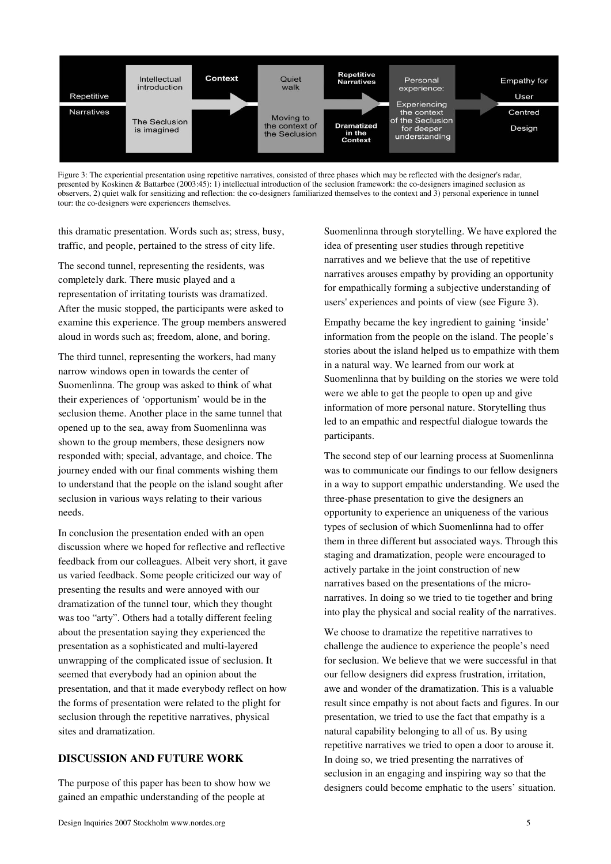

Figure 3: The experiential presentation using repetitive narratives, consisted of three phases which may be reflected with the designer's radar, presented by Koskinen & Battarbee (2003:45): 1) intellectual introduction of the seclusion framework: the co-designers imagined seclusion as observers, 2) quiet walk for sensitizing and reflection: the co-designers familiarized themselves to the context and 3) personal experience in tunnel tour: the co-designers were experiencers themselves.

this dramatic presentation. Words such as; stress, busy, traffic, and people, pertained to the stress of city life.

The second tunnel, representing the residents, was completely dark. There music played and a representation of irritating tourists was dramatized. After the music stopped, the participants were asked to examine this experience. The group members answered aloud in words such as; freedom, alone, and boring.

The third tunnel, representing the workers, had many narrow windows open in towards the center of Suomenlinna. The group was asked to think of what their experiences of 'opportunism' would be in the seclusion theme. Another place in the same tunnel that opened up to the sea, away from Suomenlinna was shown to the group members, these designers now responded with; special, advantage, and choice. The journey ended with our final comments wishing them to understand that the people on the island sought after seclusion in various ways relating to their various needs.

In conclusion the presentation ended with an open discussion where we hoped for reflective and reflective feedback from our colleagues. Albeit very short, it gave us varied feedback. Some people criticized our way of presenting the results and were annoyed with our dramatization of the tunnel tour, which they thought was too "arty". Others had a totally different feeling about the presentation saying they experienced the presentation as a sophisticated and multi-layered unwrapping of the complicated issue of seclusion. It seemed that everybody had an opinion about the presentation, and that it made everybody reflect on how the forms of presentation were related to the plight for seclusion through the repetitive narratives, physical sites and dramatization.

## **DISCUSSION AND FUTURE WORK**

The purpose of this paper has been to show how we gained an empathic understanding of the people at

Suomenlinna through storytelling. We have explored the idea of presenting user studies through repetitive narratives and we believe that the use of repetitive narratives arouses empathy by providing an opportunity for empathically forming a subjective understanding of users' experiences and points of view (see Figure 3).

Empathy became the key ingredient to gaining 'inside' information from the people on the island. The people's stories about the island helped us to empathize with them in a natural way. We learned from our work at Suomenlinna that by building on the stories we were told were we able to get the people to open up and give information of more personal nature. Storytelling thus led to an empathic and respectful dialogue towards the participants.

The second step of our learning process at Suomenlinna was to communicate our findings to our fellow designers in a way to support empathic understanding. We used the three-phase presentation to give the designers an opportunity to experience an uniqueness of the various types of seclusion of which Suomenlinna had to offer them in three different but associated ways. Through this staging and dramatization, people were encouraged to actively partake in the joint construction of new narratives based on the presentations of the micronarratives. In doing so we tried to tie together and bring into play the physical and social reality of the narratives.

We choose to dramatize the repetitive narratives to challenge the audience to experience the people's need for seclusion. We believe that we were successful in that our fellow designers did express frustration, irritation, awe and wonder of the dramatization. This is a valuable result since empathy is not about facts and figures. In our presentation, we tried to use the fact that empathy is a natural capability belonging to all of us. By using repetitive narratives we tried to open a door to arouse it. In doing so, we tried presenting the narratives of seclusion in an engaging and inspiring way so that the designers could become emphatic to the users' situation.